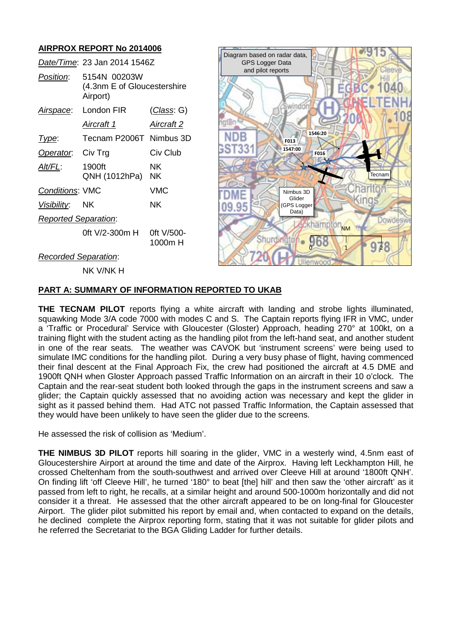# **AIRPROX REPORT No 2014006**

|                             | Date/Time: 23 Jan 2014 1546Z                            |                       |        |
|-----------------------------|---------------------------------------------------------|-----------------------|--------|
| Position:                   | 5154N 00203W<br>(4.3nm E of Gloucestershire<br>Airport) |                       | and p  |
| Airspace:                   | London FIR                                              | ( <i>Class</i> : G)   |        |
|                             | Aircraft 1                                              | <b>Aircraft 2</b>     | gtør   |
| Type:                       | Tecnam P2006T Nimbus 3D                                 |                       |        |
| Operator.                   | Civ Trg                                                 | Civ Club              | 3ST331 |
| Alt/FL:                     | 1900ft<br>QNH (1012hPa)                                 | NK.<br>NΚ             |        |
| <b>Conditions: VMC</b>      |                                                         | <b>VMC</b>            |        |
| <u>Visibility</u>           | <b>NK</b>                                               | NK.                   | 09.95  |
| <b>Reported Separation:</b> |                                                         |                       |        |
|                             | 0ft V/2-300m H                                          | Oft V/500-<br>1000m H |        |
| <b>Recorded Separation:</b> |                                                         |                       |        |



#### NK V/NK H

#### **PART A: SUMMARY OF INFORMATION REPORTED TO UKAB**

**THE TECNAM PILOT** reports flying a white aircraft with landing and strobe lights illuminated, squawking Mode 3/A code 7000 with modes C and S. The Captain reports flying IFR in VMC, under a 'Traffic or Procedural' Service with Gloucester (Gloster) Approach, heading 270° at 100kt, on a training flight with the student acting as the handling pilot from the left-hand seat, and another student in one of the rear seats. The weather was CAVOK but 'instrument screens' were being used to simulate IMC conditions for the handling pilot. During a very busy phase of flight, having commenced their final descent at the Final Approach Fix, the crew had positioned the aircraft at 4.5 DME and 1900ft QNH when Gloster Approach passed Traffic Information on an aircraft in their 10 o'clock. The Captain and the rear-seat student both looked through the gaps in the instrument screens and saw a glider; the Captain quickly assessed that no avoiding action was necessary and kept the glider in sight as it passed behind them. Had ATC not passed Traffic Information, the Captain assessed that they would have been unlikely to have seen the glider due to the screens.

He assessed the risk of collision as 'Medium'.

**THE NIMBUS 3D PILOT** reports hill soaring in the glider, VMC in a westerly wind, 4.5nm east of Gloucestershire Airport at around the time and date of the Airprox. Having left Leckhampton Hill, he crossed Cheltenham from the south-southwest and arrived over Cleeve Hill at around '1800ft QNH'. On finding lift 'off Cleeve Hill', he turned '180° to beat [the] hill' and then saw the 'other aircraft' as it passed from left to right, he recalls, at a similar height and around 500-1000m horizontally and did not consider it a threat. He assessed that the other aircraft appeared to be on long-final for Gloucester Airport. The glider pilot submitted his report by email and, when contacted to expand on the details, he declined complete the Airprox reporting form, stating that it was not suitable for glider pilots and he referred the Secretariat to the BGA Gliding Ladder for further details.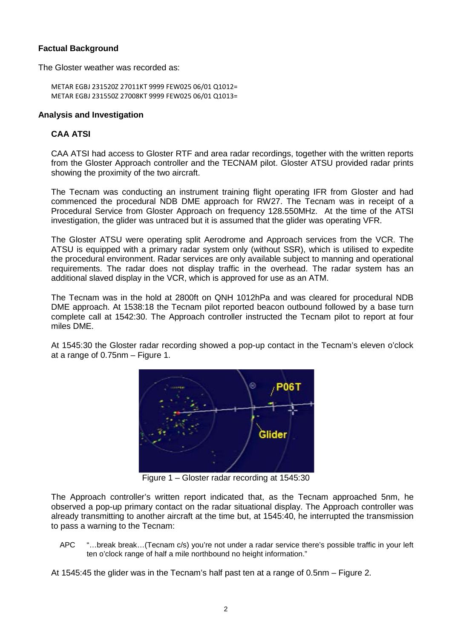# **Factual Background**

The Gloster weather was recorded as:

```
METAR EGBJ 231520Z 27011KT 9999 FEW025 06/01 Q1012=
METAR EGBJ 231550Z 27008KT 9999 FEW025 06/01 Q1013=
```
### **Analysis and Investigation**

# **CAA ATSI**

CAA ATSI had access to Gloster RTF and area radar recordings, together with the written reports from the Gloster Approach controller and the TECNAM pilot. Gloster ATSU provided radar prints showing the proximity of the two aircraft.

The Tecnam was conducting an instrument training flight operating IFR from Gloster and had commenced the procedural NDB DME approach for RW27. The Tecnam was in receipt of a Procedural Service from Gloster Approach on frequency 128.550MHz. At the time of the ATSI investigation, the glider was untraced but it is assumed that the glider was operating VFR.

The Gloster ATSU were operating split Aerodrome and Approach services from the VCR. The ATSU is equipped with a primary radar system only (without SSR), which is utilised to expedite the procedural environment. Radar services are only available subject to manning and operational requirements. The radar does not display traffic in the overhead. The radar system has an additional slaved display in the VCR, which is approved for use as an ATM.

The Tecnam was in the hold at 2800ft on QNH 1012hPa and was cleared for procedural NDB DME approach. At 1538:18 the Tecnam pilot reported beacon outbound followed by a base turn complete call at 1542:30. The Approach controller instructed the Tecnam pilot to report at four miles DME.

At 1545:30 the Gloster radar recording showed a pop-up contact in the Tecnam's eleven o'clock at a range of 0.75nm – Figure 1.



Figure 1 – Gloster radar recording at 1545:30

The Approach controller's written report indicated that, as the Tecnam approached 5nm, he observed a pop-up primary contact on the radar situational display. The Approach controller was already transmitting to another aircraft at the time but, at 1545:40, he interrupted the transmission to pass a warning to the Tecnam:

APC "…break break…(Tecnam c/s) you're not under a radar service there's possible traffic in your left ten o'clock range of half a mile northbound no height information."

At 1545:45 the glider was in the Tecnam's half past ten at a range of 0.5nm – Figure 2.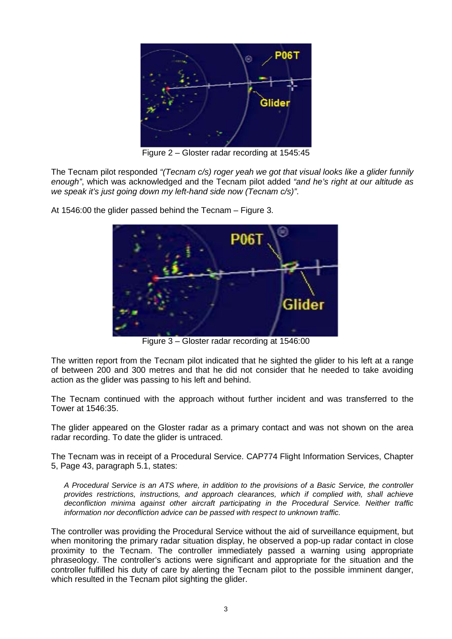

Figure 2 – Gloster radar recording at 1545:45

The Tecnam pilot responded *"(Tecnam c/s) roger yeah we got that visual looks like a glider funnily enough"*, which was acknowledged and the Tecnam pilot added *"and he's right at our altitude as we speak it's just going down my left-hand side now (Tecnam c/s)"*.



At 1546:00 the glider passed behind the Tecnam – Figure 3.

Figure 3 – Gloster radar recording at 1546:00

The written report from the Tecnam pilot indicated that he sighted the glider to his left at a range of between 200 and 300 metres and that he did not consider that he needed to take avoiding action as the glider was passing to his left and behind.

The Tecnam continued with the approach without further incident and was transferred to the Tower at 1546:35.

The glider appeared on the Gloster radar as a primary contact and was not shown on the area radar recording. To date the glider is untraced.

The Tecnam was in receipt of a Procedural Service. CAP774 Flight Information Services, Chapter 5, Page 43, paragraph 5.1, states:

*A Procedural Service is an ATS where, in addition to the provisions of a Basic Service, the controller provides restrictions, instructions, and approach clearances, which if complied with, shall achieve deconfliction minima against other aircraft participating in the Procedural Service. Neither traffic information nor deconfliction advice can be passed with respect to unknown traffic.* 

The controller was providing the Procedural Service without the aid of surveillance equipment, but when monitoring the primary radar situation display, he observed a pop-up radar contact in close proximity to the Tecnam. The controller immediately passed a warning using appropriate phraseology. The controller's actions were significant and appropriate for the situation and the controller fulfilled his duty of care by alerting the Tecnam pilot to the possible imminent danger, which resulted in the Tecnam pilot sighting the glider.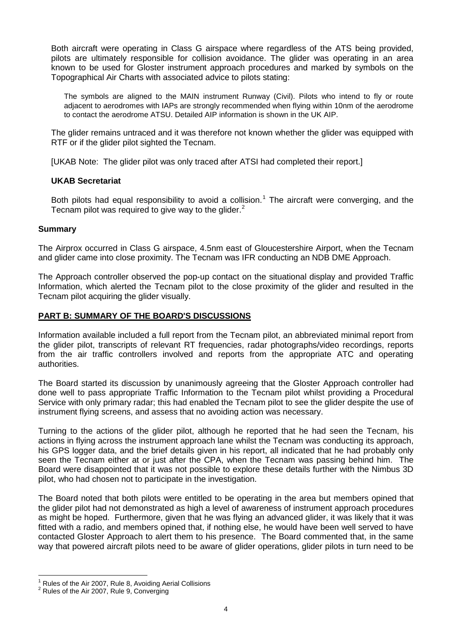Both aircraft were operating in Class G airspace where regardless of the ATS being provided, pilots are ultimately responsible for collision avoidance. The glider was operating in an area known to be used for Gloster instrument approach procedures and marked by symbols on the Topographical Air Charts with associated advice to pilots stating:

The symbols are aligned to the MAIN instrument Runway (Civil). Pilots who intend to fly or route adjacent to aerodromes with IAPs are strongly recommended when flying within 10nm of the aerodrome to contact the aerodrome ATSU. Detailed AIP information is shown in the UK AIP.

The glider remains untraced and it was therefore not known whether the glider was equipped with RTF or if the glider pilot sighted the Tecnam.

[UKAB Note: The glider pilot was only traced after ATSI had completed their report.]

# **UKAB Secretariat**

Both pilots had equal responsibility to avoid a collision.<sup>[1](#page-3-0)</sup> The aircraft were converging, and the Tecnam pilot was required to give way to the glider.<sup>[2](#page-3-1)</sup>

#### **Summary**

The Airprox occurred in Class G airspace, 4.5nm east of Gloucestershire Airport, when the Tecnam and glider came into close proximity. The Tecnam was IFR conducting an NDB DME Approach.

The Approach controller observed the pop-up contact on the situational display and provided Traffic Information, which alerted the Tecnam pilot to the close proximity of the glider and resulted in the Tecnam pilot acquiring the glider visually.

# **PART B: SUMMARY OF THE BOARD'S DISCUSSIONS**

Information available included a full report from the Tecnam pilot, an abbreviated minimal report from the glider pilot, transcripts of relevant RT frequencies, radar photographs/video recordings, reports from the air traffic controllers involved and reports from the appropriate ATC and operating authorities.

The Board started its discussion by unanimously agreeing that the Gloster Approach controller had done well to pass appropriate Traffic Information to the Tecnam pilot whilst providing a Procedural Service with only primary radar; this had enabled the Tecnam pilot to see the glider despite the use of instrument flying screens, and assess that no avoiding action was necessary.

Turning to the actions of the glider pilot, although he reported that he had seen the Tecnam, his actions in flying across the instrument approach lane whilst the Tecnam was conducting its approach, his GPS logger data, and the brief details given in his report, all indicated that he had probably only seen the Tecnam either at or just after the CPA, when the Tecnam was passing behind him. The Board were disappointed that it was not possible to explore these details further with the Nimbus 3D pilot, who had chosen not to participate in the investigation.

The Board noted that both pilots were entitled to be operating in the area but members opined that the glider pilot had not demonstrated as high a level of awareness of instrument approach procedures as might be hoped. Furthermore, given that he was flying an advanced glider, it was likely that it was fitted with a radio, and members opined that, if nothing else, he would have been well served to have contacted Gloster Approach to alert them to his presence. The Board commented that, in the same way that powered aircraft pilots need to be aware of glider operations, glider pilots in turn need to be

<span id="page-3-0"></span><sup>&</sup>lt;sup>1</sup> Rules of the Air 2007, Rule 8, Avoiding Aerial Collisions  $2^2$  Rules of the Air 2007, Rule 9, Converging

<span id="page-3-1"></span>